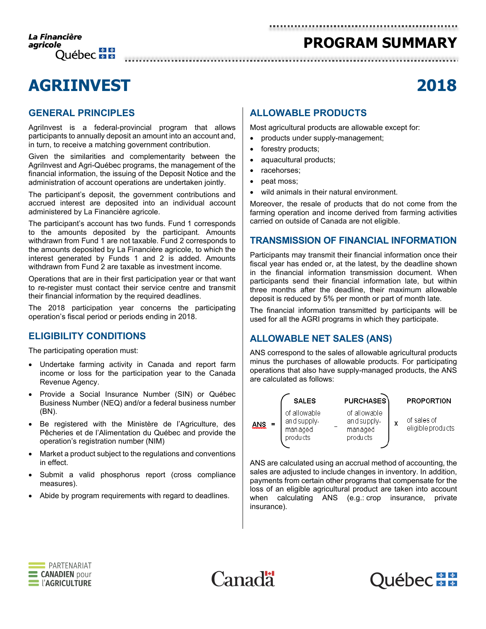# **PROGRAM SUMMARY**

# **AGRIINVEST 2018**

## **GENERAL PRINCIPLES**

AgriInvest is a federal-provincial program that allows participants to annually deposit an amount into an account and, in turn, to receive a matching government contribution.

Given the similarities and complementarity between the AgriInvest and Agri-Québec programs, the management of the financial information, the issuing of the Deposit Notice and the administration of account operations are undertaken jointly.

The participant's deposit, the government contributions and accrued interest are deposited into an individual account administered by La Financière agricole.

The participant's account has two funds. Fund 1 corresponds to the amounts deposited by the participant. Amounts withdrawn from Fund 1 are not taxable. Fund 2 corresponds to the amounts deposited by La Financière agricole, to which the interest generated by Funds 1 and 2 is added. Amounts withdrawn from Fund 2 are taxable as investment income.

Operations that are in their first participation year or that want to re-register must contact their service centre and transmit their financial information by the required deadlines.

The 2018 participation year concerns the participating operation's fiscal period or periods ending in 2018.

### **ELIGIBILITY CONDITIONS**

The participating operation must:

- Undertake farming activity in Canada and report farm income or loss for the participation year to the Canada Revenue Agency.
- Provide a Social Insurance Number (SIN) or Québec Business Number (NEQ) and/or a federal business number (BN).
- Be registered with the Ministère de l'Agriculture, des Pêcheries et de l'Alimentation du Québec and provide the operation's registration number (NIM)
- Market a product subject to the regulations and conventions in effect.
- Submit a valid phosphorus report (cross compliance measures).
- Abide by program requirements with regard to deadlines.

## **ALLOWABLE PRODUCTS**

Most agricultural products are allowable except for:

- products under supply-management;
- forestry products;
- aquacultural products;
- racehorses;
- peat moss;
- wild animals in their natural environment.

Moreover, the resale of products that do not come from the farming operation and income derived from farming activities carried on outside of Canada are not eligible.

#### **TRANSMISSION OF FINANCIAL INFORMATION**

Participants may transmit their financial information once their fiscal year has ended or, at the latest, by the deadline shown in the financial information transmission document. When participants send their financial information late, but within three months after the deadline, their maximum allowable deposit is reduced by 5% per month or part of month late.

The financial information transmitted by participants will be used for all the AGRI programs in which they participate.

## **ALLOWABLE NET SALES (ANS)**

ANS correspond to the sales of allowable agricultural products minus the purchases of allowable products. For participating operations that also have supply-managed products, the ANS are calculated as follows:



ANS are calculated using an accrual method of accounting, the sales are adjusted to include changes in inventory. In addition, payments from certain other programs that compensate for the loss of an eligible agricultural product are taken into account when calculating ANS (e.g.: crop insurance, private insurance).